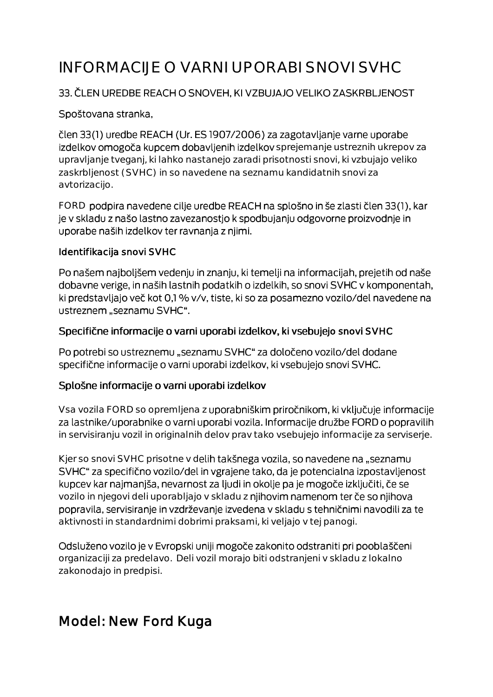# INFORMACIJE O VARNI UPORABI SNOVI SVHC

### 33. ČLEN UREDBE REACH O SNOVEH, KI VZBUJAJO VELIKO ZASKRBLJENOST

#### Spoštovana stranka,

člen 33(1) uredbe REACH (Ur. ES 1907/2006) za zagotavljanje varne uporabe izdelkov omogoča kupcem dobavljenih izdelkov sprejemanje ustreznih ukrepov za upravljanje tveganj, ki lahko nastanejo zaradi prisotnosti snovi, ki vzbujajo veliko zaskrbljenost (SVHC) in so navedene na seznamu kandidatnih snovi za avtorizacijo.

FORD podpira navedene cilje uredbe REACH na splošno in še zlasti člen 33(1), kar je v skladu z našo lastno zavezanostjo k spodbujanju odgovorne proizvodnje in uporabe naših izdelkov ter ravnanja z njimi.

#### Identifikacija snovi SVHC

Po našem najboljšem vedenju in znanju, ki temelji na informacijah, prejetih od naše dobavne verige, in naših lastnih podatkih o izdelkih, so snovi SVHC v komponentah, ki predstavljajo več kot 0,1 % v/v, tiste, ki so za posamezno vozilo/del navedene na ustreznem "seznamu SVHC".

#### Specifične informacije o varni uporabi izdelkov, ki vsebujejo snovi SVHC

Po potrebi so ustreznemu "seznamu SVHC" za določeno vozilo/del dodane specifične informacije o varni uporabi izdelkov, ki vsebujejo snovi SVHC.

#### Splošne informacije o varni uporabi izdelkov

Vsa vozila FORD so opremljena z uporabniškim priročnikom, ki vključuje informacije za lastnike/uporabnike o varni uporabi vozila. Informacije družbe FORD o popravilih in servisiranju vozil in originalnih delov prav tako vsebujejo informacije za serviserje.

Kjer so snovi SVHC prisotne v delih takšnega vozila, so navedene na "seznamu SVHC" za specifično vozilo/del in vgrajene tako, da je potencialna izpostavljenost kupcev kar najmanjša, nevarnost za ljudi in okolje pa je mogoče izključiti, če se vozilo in njegovi deli uporabljajo v skladu z njihovim namenom ter če so njihova popravila, servisiranje in vzdrževanje izvedena v skladu s tehničnimi navodili za te aktivnosti in standardnimi dobrimi praksami, ki veljajo v tej panogi.

Odsluženo vozilo je v Evropski uniji mogoče zakonito odstraniti pri pooblaščeni organizaciji za predelavo. Deli vozil morajo biti odstranjeni v skladu z lokalno zakonodajo in predpisi.

# Model: New Ford Kuga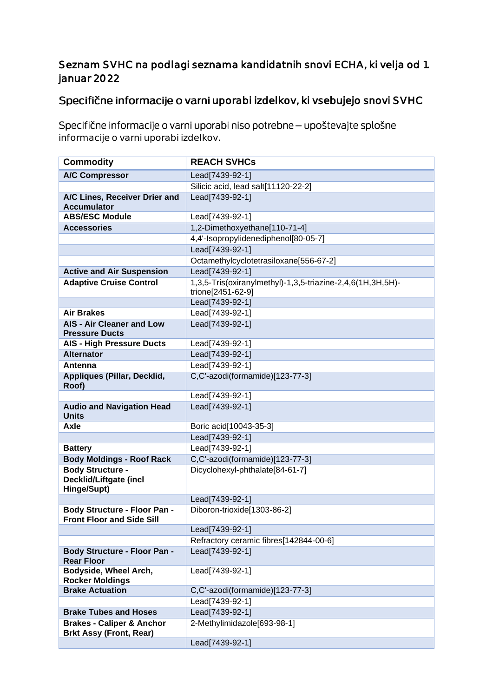## Seznam SVHC na podlagi seznama kandidatnih snovi ECHA, ki velja od 1. januar 2022

# Specifične informacije o varni uporabi izdelkov, ki vsebujejo snovi SVHC

Specifične informacije o varni uporabi niso potrebne - upoštevajte splošne informacije o varni uporabi izdelkov.

| <b>Commodity</b>                                                        | <b>REACH SVHCs</b>                                                              |
|-------------------------------------------------------------------------|---------------------------------------------------------------------------------|
| <b>A/C Compressor</b>                                                   | Lead[7439-92-1]                                                                 |
|                                                                         | Silicic acid, lead salt[11120-22-2]                                             |
| A/C Lines, Receiver Drier and<br><b>Accumulator</b>                     | Lead[7439-92-1]                                                                 |
| <b>ABS/ESC Module</b>                                                   | Lead[7439-92-1]                                                                 |
| <b>Accessories</b>                                                      | 1,2-Dimethoxyethane[110-71-4]                                                   |
|                                                                         | 4,4'-Isopropylidenediphenol[80-05-7]                                            |
|                                                                         | Lead[7439-92-1]                                                                 |
|                                                                         | Octamethylcyclotetrasiloxane[556-67-2]                                          |
| <b>Active and Air Suspension</b>                                        | Lead[7439-92-1]                                                                 |
| <b>Adaptive Cruise Control</b>                                          | 1,3,5-Tris(oxiranylmethyl)-1,3,5-triazine-2,4,6(1H,3H,5H)-<br>trione[2451-62-9] |
|                                                                         | Lead[7439-92-1]                                                                 |
| <b>Air Brakes</b>                                                       | Lead[7439-92-1]                                                                 |
| <b>AIS - Air Cleaner and Low</b><br><b>Pressure Ducts</b>               | Lead[7439-92-1]                                                                 |
| <b>AIS - High Pressure Ducts</b>                                        | Lead[7439-92-1]                                                                 |
| <b>Alternator</b>                                                       | Lead[7439-92-1]                                                                 |
| Antenna                                                                 | Lead[7439-92-1]                                                                 |
| Appliques (Pillar, Decklid,<br>Roof)                                    | C,C'-azodi(formamide)[123-77-3]                                                 |
|                                                                         | Lead[7439-92-1]                                                                 |
| <b>Audio and Navigation Head</b><br><b>Units</b>                        | Lead[7439-92-1]                                                                 |
| Axle                                                                    | Boric acid[10043-35-3]                                                          |
|                                                                         | Lead[7439-92-1]                                                                 |
| <b>Battery</b>                                                          | Lead[7439-92-1]                                                                 |
| <b>Body Moldings - Roof Rack</b>                                        | C,C'-azodi(formamide)[123-77-3]                                                 |
| <b>Body Structure -</b><br><b>Decklid/Liftgate (incl</b><br>Hinge/Supt) | Dicyclohexyl-phthalate[84-61-7]                                                 |
|                                                                         | Lead[7439-92-1]                                                                 |
| <b>Body Structure - Floor Pan -</b><br><b>Front Floor and Side Sill</b> | Diboron-trioxide[1303-86-2]                                                     |
|                                                                         | Lead[7439-92-1]                                                                 |
|                                                                         | Refractory ceramic fibres[142844-00-6]                                          |
| <b>Body Structure - Floor Pan -</b><br><b>Rear Floor</b>                | Lead[7439-92-1]                                                                 |
| Bodyside, Wheel Arch,<br><b>Rocker Moldings</b>                         | Lead[7439-92-1]                                                                 |
| <b>Brake Actuation</b>                                                  | C,C'-azodi(formamide)[123-77-3]                                                 |
|                                                                         | Lead[7439-92-1]                                                                 |
| <b>Brake Tubes and Hoses</b>                                            | Lead[7439-92-1]                                                                 |
| <b>Brakes - Caliper &amp; Anchor</b><br><b>Brkt Assy (Front, Rear)</b>  | 2-Methylimidazole[693-98-1]                                                     |
|                                                                         | Lead[7439-92-1]                                                                 |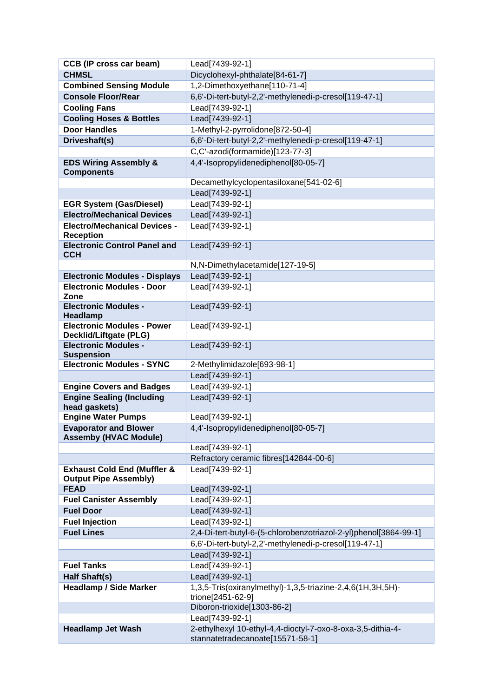| <b>CCB (IP cross car beam)</b>                                         | Lead[7439-92-1]                                                                                 |
|------------------------------------------------------------------------|-------------------------------------------------------------------------------------------------|
| <b>CHMSL</b>                                                           | Dicyclohexyl-phthalate[84-61-7]                                                                 |
| <b>Combined Sensing Module</b>                                         | 1,2-Dimethoxyethane[110-71-4]                                                                   |
| <b>Console Floor/Rear</b>                                              | 6,6'-Di-tert-butyl-2,2'-methylenedi-p-cresol[119-47-1]                                          |
| <b>Cooling Fans</b>                                                    | Lead[7439-92-1]                                                                                 |
| <b>Cooling Hoses &amp; Bottles</b>                                     | Lead[7439-92-1]                                                                                 |
| <b>Door Handles</b>                                                    | 1-Methyl-2-pyrrolidone[872-50-4]                                                                |
| Driveshaft(s)                                                          | 6,6'-Di-tert-butyl-2,2'-methylenedi-p-cresol[119-47-1]                                          |
|                                                                        | C,C'-azodi(formamide)[123-77-3]                                                                 |
| <b>EDS Wiring Assembly &amp;</b>                                       | 4,4'-Isopropylidenediphenol[80-05-7]                                                            |
| <b>Components</b>                                                      |                                                                                                 |
|                                                                        | Decamethylcyclopentasiloxane[541-02-6]                                                          |
|                                                                        | Lead[7439-92-1]                                                                                 |
| <b>EGR System (Gas/Diesel)</b><br><b>Electro/Mechanical Devices</b>    | Lead[7439-92-1]                                                                                 |
|                                                                        | Lead[7439-92-1]                                                                                 |
| <b>Electro/Mechanical Devices -</b><br><b>Reception</b>                | Lead[7439-92-1]                                                                                 |
| <b>Electronic Control Panel and</b>                                    | Lead[7439-92-1]                                                                                 |
| <b>CCH</b>                                                             |                                                                                                 |
|                                                                        | N,N-Dimethylacetamide[127-19-5]                                                                 |
| <b>Electronic Modules - Displays</b>                                   | Lead[7439-92-1]                                                                                 |
| <b>Electronic Modules - Door</b><br>Zone                               | Lead[7439-92-1]                                                                                 |
| <b>Electronic Modules -</b><br>Headlamp                                | Lead[7439-92-1]                                                                                 |
| <b>Electronic Modules - Power</b><br>Decklid/Liftgate (PLG)            | Lead[7439-92-1]                                                                                 |
| <b>Electronic Modules -</b>                                            | Lead[7439-92-1]                                                                                 |
| <b>Suspension</b>                                                      |                                                                                                 |
| <b>Electronic Modules - SYNC</b>                                       | 2-Methylimidazole[693-98-1]                                                                     |
|                                                                        | Lead[7439-92-1]                                                                                 |
| <b>Engine Covers and Badges</b>                                        | Lead[7439-92-1]                                                                                 |
| <b>Engine Sealing (Including</b><br>head gaskets)                      | Lead[7439-92-1]                                                                                 |
| <b>Engine Water Pumps</b>                                              | Lead[7439-92-1]                                                                                 |
| <b>Evaporator and Blower</b><br><b>Assemby (HVAC Module)</b>           | 4,4'-Isopropylidenediphenol[80-05-7]                                                            |
|                                                                        | Lead[7439-92-1]                                                                                 |
|                                                                        | Refractory ceramic fibres[142844-00-6]                                                          |
| <b>Exhaust Cold End (Muffler &amp;</b><br><b>Output Pipe Assembly)</b> | Lead[7439-92-1]                                                                                 |
| <b>FEAD</b>                                                            | Lead[7439-92-1]                                                                                 |
| <b>Fuel Canister Assembly</b>                                          | Lead[7439-92-1]                                                                                 |
| <b>Fuel Door</b>                                                       | Lead[7439-92-1]                                                                                 |
| <b>Fuel Injection</b>                                                  | Lead[7439-92-1]                                                                                 |
| <b>Fuel Lines</b>                                                      | 2,4-Di-tert-butyl-6-(5-chlorobenzotriazol-2-yl)phenol[3864-99-1]                                |
|                                                                        | 6,6'-Di-tert-butyl-2,2'-methylenedi-p-cresol[119-47-1]                                          |
|                                                                        | Lead[7439-92-1]                                                                                 |
| <b>Fuel Tanks</b>                                                      | Lead[7439-92-1]                                                                                 |
| Half Shaft(s)                                                          | Lead[7439-92-1]                                                                                 |
| <b>Headlamp / Side Marker</b>                                          | 1,3,5-Tris(oxiranylmethyl)-1,3,5-triazine-2,4,6(1H,3H,5H)-<br>trione[2451-62-9]                 |
|                                                                        | Diboron-trioxide[1303-86-2]                                                                     |
|                                                                        | Lead[7439-92-1]                                                                                 |
| <b>Headlamp Jet Wash</b>                                               | 2-ethylhexyl 10-ethyl-4,4-dioctyl-7-oxo-8-oxa-3,5-dithia-4-<br>stannatetradecanoate[15571-58-1] |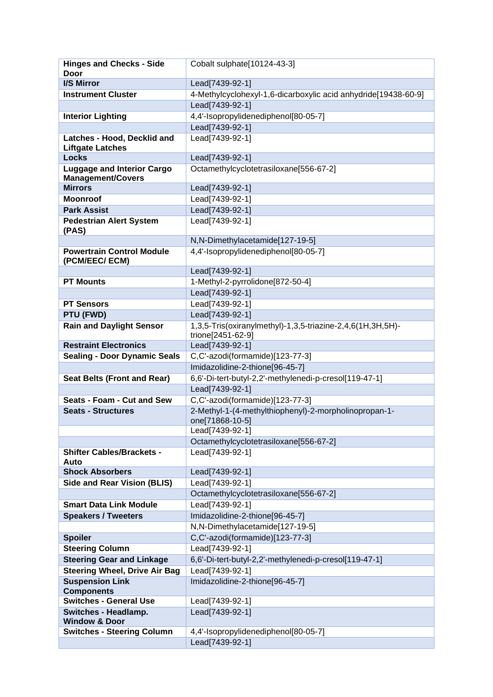| <b>Hinges and Checks - Side</b>                    | Cobalt sulphate[10124-43-3]                                                     |
|----------------------------------------------------|---------------------------------------------------------------------------------|
| Door                                               |                                                                                 |
| I/S Mirror                                         | Lead[7439-92-1]                                                                 |
| <b>Instrument Cluster</b>                          | 4-Methylcyclohexyl-1,6-dicarboxylic acid anhydride[19438-60-9]                  |
|                                                    | Lead[7439-92-1]                                                                 |
| <b>Interior Lighting</b>                           | 4,4'-Isopropylidenediphenol[80-05-7]                                            |
|                                                    | Lead[7439-92-1]                                                                 |
| Latches - Hood, Decklid and                        | Lead[7439-92-1]                                                                 |
| <b>Liftgate Latches</b><br><b>Locks</b>            | Lead[7439-92-1]                                                                 |
| <b>Luggage and Interior Cargo</b>                  | Octamethylcyclotetrasiloxane[556-67-2]                                          |
| <b>Management/Covers</b>                           |                                                                                 |
| <b>Mirrors</b>                                     | Lead[7439-92-1]                                                                 |
| <b>Moonroof</b>                                    | Lead[7439-92-1]                                                                 |
| <b>Park Assist</b>                                 | Lead[7439-92-1]                                                                 |
| <b>Pedestrian Alert System</b>                     | Lead[7439-92-1]                                                                 |
| (PAS)                                              |                                                                                 |
|                                                    | N,N-Dimethylacetamide[127-19-5]                                                 |
| <b>Powertrain Control Module</b>                   | 4,4'-Isopropylidenediphenol[80-05-7]                                            |
| (PCM/EEC/ ECM)                                     |                                                                                 |
|                                                    | Lead[7439-92-1]                                                                 |
| <b>PT Mounts</b>                                   | 1-Methyl-2-pyrrolidone[872-50-4]                                                |
|                                                    | Lead[7439-92-1]                                                                 |
| <b>PT Sensors</b>                                  | Lead[7439-92-1]                                                                 |
| PTU (FWD)                                          | Lead[7439-92-1]                                                                 |
| <b>Rain and Daylight Sensor</b>                    | 1,3,5-Tris(oxiranylmethyl)-1,3,5-triazine-2,4,6(1H,3H,5H)-<br>trione[2451-62-9] |
| <b>Restraint Electronics</b>                       | Lead[7439-92-1]                                                                 |
|                                                    | C,C'-azodi(formamide)[123-77-3]                                                 |
|                                                    |                                                                                 |
| <b>Sealing - Door Dynamic Seals</b>                |                                                                                 |
|                                                    | Imidazolidine-2-thione[96-45-7]                                                 |
| <b>Seat Belts (Front and Rear)</b>                 | 6,6'-Di-tert-butyl-2,2'-methylenedi-p-cresol[119-47-1]                          |
| Seats - Foam - Cut and Sew                         | Lead[7439-92-1]                                                                 |
| <b>Seats - Structures</b>                          | C,C'-azodi(formamide)[123-77-3]                                                 |
|                                                    | 2-Methyl-1-(4-methylthiophenyl)-2-morpholinopropan-1-<br>one[71868-10-5]        |
|                                                    | Lead[7439-92-1]                                                                 |
|                                                    | Octamethylcyclotetrasiloxane[556-67-2]                                          |
| <b>Shifter Cables/Brackets -</b>                   | Lead[7439-92-1]                                                                 |
| Auto                                               |                                                                                 |
| <b>Shock Absorbers</b>                             | Lead[7439-92-1]                                                                 |
| <b>Side and Rear Vision (BLIS)</b>                 | Lead[7439-92-1]                                                                 |
|                                                    | Octamethylcyclotetrasiloxane[556-67-2]                                          |
| <b>Smart Data Link Module</b>                      | Lead[7439-92-1]                                                                 |
| <b>Speakers / Tweeters</b>                         | Imidazolidine-2-thione[96-45-7]                                                 |
|                                                    | N,N-Dimethylacetamide[127-19-5]                                                 |
| <b>Spoiler</b>                                     | C,C'-azodi(formamide)[123-77-3]                                                 |
| <b>Steering Column</b>                             | Lead[7439-92-1]                                                                 |
| <b>Steering Gear and Linkage</b>                   | 6,6'-Di-tert-butyl-2,2'-methylenedi-p-cresol[119-47-1]                          |
| <b>Steering Wheel, Drive Air Bag</b>               | Lead[7439-92-1]                                                                 |
| <b>Suspension Link</b>                             | Imidazolidine-2-thione[96-45-7]                                                 |
| <b>Components</b><br><b>Switches - General Use</b> | Lead[7439-92-1]                                                                 |
| <b>Switches - Headlamp.</b>                        | Lead[7439-92-1]                                                                 |
| <b>Window &amp; Door</b>                           |                                                                                 |
| <b>Switches - Steering Column</b>                  | 4,4'-Isopropylidenediphenol[80-05-7]<br>Lead[7439-92-1]                         |